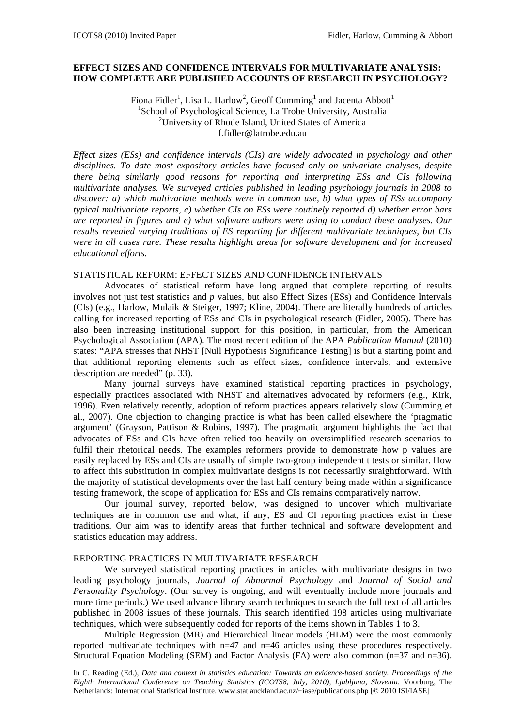### **EFFECT SIZES AND CONFIDENCE INTERVALS FOR MULTIVARIATE ANALYSIS: HOW COMPLETE ARE PUBLISHED ACCOUNTS OF RESEARCH IN PSYCHOLOGY?**

Fiona Fidler<sup>1</sup>, Lisa L. Harlow<sup>2</sup>, Geoff Cumming<sup>1</sup> and Jacenta Abbott<sup>1</sup> 1 School of Psychological Science, La Trobe University, Australia 2 University of Rhode Island, United States of America f.fidler@latrobe.edu.au

*Effect sizes (ESs) and confidence intervals (CIs) are widely advocated in psychology and other disciplines. To date most expository articles have focused only on univariate analyses, despite there being similarly good reasons for reporting and interpreting ESs and CIs following multivariate analyses. We surveyed articles published in leading psychology journals in 2008 to discover: a) which multivariate methods were in common use, b) what types of ESs accompany typical multivariate reports, c) whether CIs on ESs were routinely reported d) whether error bars are reported in figures and e) what software authors were using to conduct these analyses. Our results revealed varying traditions of ES reporting for different multivariate techniques, but CIs were in all cases rare. These results highlight areas for software development and for increased educational efforts.* 

# STATISTICAL REFORM: EFFECT SIZES AND CONFIDENCE INTERVALS

Advocates of statistical reform have long argued that complete reporting of results involves not just test statistics and *p* values, but also Effect Sizes (ESs) and Confidence Intervals (CIs) (e.g., Harlow, Mulaik & Steiger, 1997; Kline, 2004). There are literally hundreds of articles calling for increased reporting of ESs and CIs in psychological research (Fidler, 2005). There has also been increasing institutional support for this position, in particular, from the American Psychological Association (APA). The most recent edition of the APA *Publication Manual* (2010) states: "APA stresses that NHST [Null Hypothesis Significance Testing] is but a starting point and that additional reporting elements such as effect sizes, confidence intervals, and extensive description are needed" (p. 33).

Many journal surveys have examined statistical reporting practices in psychology, especially practices associated with NHST and alternatives advocated by reformers (e.g., Kirk, 1996). Even relatively recently, adoption of reform practices appears relatively slow (Cumming et al., 2007). One objection to changing practice is what has been called elsewhere the 'pragmatic argument' (Grayson, Pattison & Robins, 1997). The pragmatic argument highlights the fact that advocates of ESs and CIs have often relied too heavily on oversimplified research scenarios to fulfil their rhetorical needs. The examples reformers provide to demonstrate how p values are easily replaced by ESs and CIs are usually of simple two-group independent t tests or similar. How to affect this substitution in complex multivariate designs is not necessarily straightforward. With the majority of statistical developments over the last half century being made within a significance testing framework, the scope of application for ESs and CIs remains comparatively narrow.

Our journal survey, reported below, was designed to uncover which multivariate techniques are in common use and what, if any, ES and CI reporting practices exist in these traditions. Our aim was to identify areas that further technical and software development and statistics education may address.

# REPORTING PRACTICES IN MULTIVARIATE RESEARCH

We surveyed statistical reporting practices in articles with multivariate designs in two leading psychology journals, *Journal of Abnormal Psychology* and *Journal of Social and Personality Psychology*. (Our survey is ongoing, and will eventually include more journals and more time periods.) We used advance library search techniques to search the full text of all articles published in 2008 issues of these journals. This search identified 198 articles using multivariate techniques, which were subsequently coded for reports of the items shown in Tables 1 to 3.

Multiple Regression (MR) and Hierarchical linear models (HLM) were the most commonly reported multivariate techniques with n=47 and n=46 articles using these procedures respectively. Structural Equation Modeling (SEM) and Factor Analysis (FA) were also common (n=37 and n=36).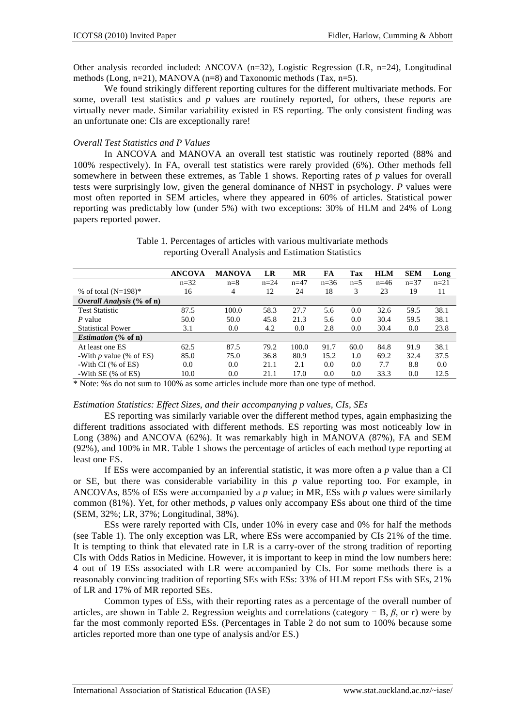Other analysis recorded included: ANCOVA  $(n=32)$ , Logistic Regression (LR, n=24), Longitudinal methods (Long, n=21), MANOVA (n=8) and Taxonomic methods (Tax, n=5).

We found strikingly different reporting cultures for the different multivariate methods. For some, overall test statistics and *p* values are routinely reported, for others, these reports are virtually never made. Similar variability existed in ES reporting. The only consistent finding was an unfortunate one: CIs are exceptionally rare!

# *Overall Test Statistics and P Values*

*Overall Analysis* **(% of n)**

*Estimation* **(% of n)**

In ANCOVA and MANOVA an overall test statistic was routinely reported (88% and 100% respectively). In FA, overall test statistics were rarely provided (6%). Other methods fell somewhere in between these extremes, as Table 1 shows. Reporting rates of *p* values for overall tests were surprisingly low, given the general dominance of NHST in psychology. *P* values were most often reported in SEM articles, where they appeared in 60% of articles. Statistical power reporting was predictably low (under 5%) with two exceptions: 30% of HLM and 24% of Long papers reported power.

|                                  | <b>ANCOVA</b> | <b>MANOVA</b> | LR     | MR     | FA       | Tax   | <b>HLM</b> | <b>SEM</b> | Long   |
|----------------------------------|---------------|---------------|--------|--------|----------|-------|------------|------------|--------|
|                                  | $n=32$        | $n=8$         | $n=24$ | $n=47$ | $n = 36$ | $n=5$ | $n = 46$   | $n = 37$   | $n=21$ |
| % of total $(N=198)$ *           | 16            | 4             | 12     | 24     | 18       |       | 23         | 19         |        |
| <i>Overall Analysis</i> (% of n) |               |               |        |        |          |       |            |            |        |
| <b>Test Statistic</b>            | 87.5          | 100.0         | 58.3   | 27.7   | 5.6      | 0.0   | 32.6       | 59.5       | 38.1   |
| P value                          | 50.0          | 50.0          | 45.8   | 21.3   | 5.6      | 0.0   | 30.4       | 59.5       | 38.1   |
| <b>Statistical Power</b>         | 3.1           | 0.0           | 4.2    | 0.0    | 2.8      | 0.0   | 30.4       | 0.0        | 23.8   |

At least one ES 62.5 87.5 79.2 100.0 91.7 60.0 84.8 91.9 38.1 -With *p* value (% of ES) 85.0 75.0 36.8 80.9 15.2 1.0 69.2 32.4 37.5 -With CI (% of ES) 0.0 0.0 21.1 2.1 0.0 0.0 7.7 8.8 0.0<br>-With SE (% of ES) 10.0 0.0 21.1 17.0 0.0 0.0 33.3 0.0 12.5 -With SE (% of ES) 10.0 0.0 21.1 17.0 0.0 0.0 33.3 0.0 12.5

Table 1. Percentages of articles with various multivariate methods reporting Overall Analysis and Estimation Statistics

\* Note: %s do not sum to 100% as some articles include more than one type of method.

#### *Estimation Statistics: Effect Sizes, and their accompanying p values, CIs, SEs*

ES reporting was similarly variable over the different method types, again emphasizing the different traditions associated with different methods. ES reporting was most noticeably low in Long (38%) and ANCOVA (62%). It was remarkably high in MANOVA (87%), FA and SEM (92%), and 100% in MR. Table 1 shows the percentage of articles of each method type reporting at least one ES.

If ESs were accompanied by an inferential statistic, it was more often a *p* value than a CI or SE, but there was considerable variability in this *p* value reporting too. For example, in ANCOVAs, 85% of ESs were accompanied by a *p* value; in MR, ESs with *p* values were similarly common (81%). Yet, for other methods, *p* values only accompany ESs about one third of the time (SEM, 32%; LR, 37%; Longitudinal, 38%).

ESs were rarely reported with CIs, under 10% in every case and 0% for half the methods (see Table 1). The only exception was LR, where ESs were accompanied by CIs 21% of the time. It is tempting to think that elevated rate in LR is a carry-over of the strong tradition of reporting CIs with Odds Ratios in Medicine. However, it is important to keep in mind the low numbers here: 4 out of 19 ESs associated with LR were accompanied by CIs. For some methods there is a reasonably convincing tradition of reporting SEs with ESs: 33% of HLM report ESs with SEs, 21% of LR and 17% of MR reported SEs.

Common types of ESs, with their reporting rates as a percentage of the overall number of articles, are shown in Table 2. Regression weights and correlations (category =  $B$ ,  $\beta$ , or *r*) were by far the most commonly reported ESs. (Percentages in Table 2 do not sum to 100% because some articles reported more than one type of analysis and/or ES.)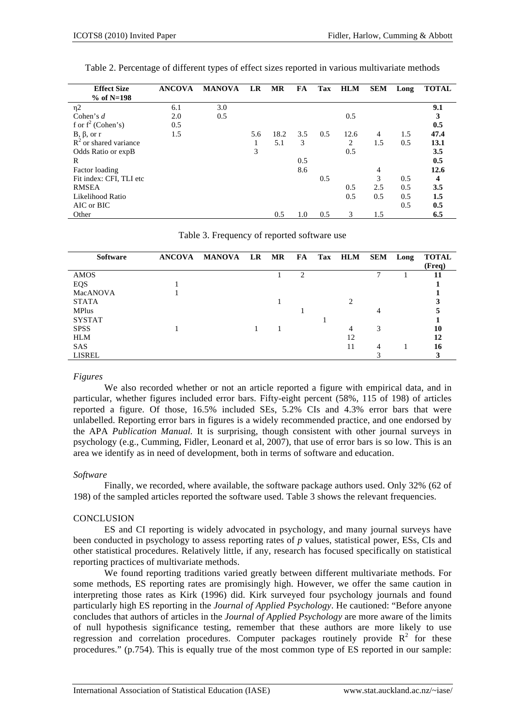| <b>Effect Size</b>       | <b>ANCOVA</b> | <b>MANOVA</b> | LR  | MR   | FA  | Tax | <b>HLM</b>     | <b>SEM</b> | Long | <b>TOTAL</b> |
|--------------------------|---------------|---------------|-----|------|-----|-----|----------------|------------|------|--------------|
| $%$ of N=198             |               |               |     |      |     |     |                |            |      |              |
| $\eta$ 2                 | 6.1           | 3.0           |     |      |     |     |                |            |      | 9.1          |
| Cohen's $d$              | 2.0           | 0.5           |     |      |     |     | 0.5            |            |      | 3            |
| f or $f^2$ (Cohen's)     | 0.5           |               |     |      |     |     |                |            |      | 0.5          |
| $B, \beta, or r$         | 1.5           |               | 5.6 | 18.2 | 3.5 | 0.5 | 12.6           | 4          | 1.5  | 47.4         |
| $R^2$ or shared variance |               |               |     | 5.1  | 3   |     | $\overline{c}$ | 1.5        | 0.5  | 13.1         |
| Odds Ratio or expB       |               |               | 3   |      |     |     | 0.5            |            |      | 3.5          |
| R                        |               |               |     |      | 0.5 |     |                |            |      | 0.5          |
| Factor loading           |               |               |     |      | 8.6 |     |                | 4          |      | 12.6         |
| Fit index: CFI, TLI etc  |               |               |     |      |     | 0.5 |                | 3          | 0.5  | 4            |
| <b>RMSEA</b>             |               |               |     |      |     |     | 0.5            | 2.5        | 0.5  | 3.5          |
| Likelihood Ratio         |               |               |     |      |     |     | 0.5            | 0.5        | 0.5  | 1.5          |
| AIC or BIC               |               |               |     |      |     |     |                |            | 0.5  | 0.5          |
| Other                    |               |               |     | 0.5  | 1.0 | 0.5 | 3              | 1.5        |      | 6.5          |

Table 2. Percentage of different types of effect sizes reported in various multivariate methods

Table 3. Frequency of reported software use

| <b>Software</b> | <b>ANCOVA</b> | <b>MANOVA</b> | LR | MR | FA | Tax | <b>HLM</b>                  | SEM | Long | <b>TOTAL</b><br>(Freq) |
|-----------------|---------------|---------------|----|----|----|-----|-----------------------------|-----|------|------------------------|
| AMOS            |               |               |    |    | 2  |     |                             | −   |      |                        |
| EQS             |               |               |    |    |    |     |                             |     |      |                        |
| MacANOVA        |               |               |    |    |    |     |                             |     |      |                        |
| <b>STATA</b>    |               |               |    |    |    |     | $\mathcal{D}_{\mathcal{L}}$ |     |      |                        |
| <b>MPlus</b>    |               |               |    |    |    |     |                             |     |      |                        |
| <b>SYSTAT</b>   |               |               |    |    |    |     |                             |     |      |                        |
| <b>SPSS</b>     |               |               |    |    |    |     | 4                           | 3   |      | 10                     |
| <b>HLM</b>      |               |               |    |    |    |     | 12                          |     |      | 12                     |
| <b>SAS</b>      |               |               |    |    |    |     | 11                          | 4   |      | 16                     |
| <b>LISREL</b>   |               |               |    |    |    |     |                             |     |      |                        |

#### *Figures*

We also recorded whether or not an article reported a figure with empirical data, and in particular, whether figures included error bars. Fifty-eight percent (58%, 115 of 198) of articles reported a figure. Of those, 16.5% included SEs, 5.2% CIs and 4.3% error bars that were unlabelled. Reporting error bars in figures is a widely recommended practice, and one endorsed by the APA *Publication Manual.* It is surprising, though consistent with other journal surveys in psychology (e.g., Cumming, Fidler, Leonard et al, 2007), that use of error bars is so low. This is an area we identify as in need of development, both in terms of software and education.

# *Software*

Finally, we recorded, where available, the software package authors used. Only 32% (62 of 198) of the sampled articles reported the software used. Table 3 shows the relevant frequencies.

# **CONCLUSION**

ES and CI reporting is widely advocated in psychology, and many journal surveys have been conducted in psychology to assess reporting rates of *p* values, statistical power, ESs, CIs and other statistical procedures. Relatively little, if any, research has focused specifically on statistical reporting practices of multivariate methods.

We found reporting traditions varied greatly between different multivariate methods. For some methods, ES reporting rates are promisingly high. However, we offer the same caution in interpreting those rates as Kirk (1996) did. Kirk surveyed four psychology journals and found particularly high ES reporting in the *Journal of Applied Psychology*. He cautioned: "Before anyone concludes that authors of articles in the *Journal of Applied Psychology* are more aware of the limits of null hypothesis significance testing, remember that these authors are more likely to use regression and correlation procedures. Computer packages routinely provide  $R^2$  for these procedures." (p.754). This is equally true of the most common type of ES reported in our sample: